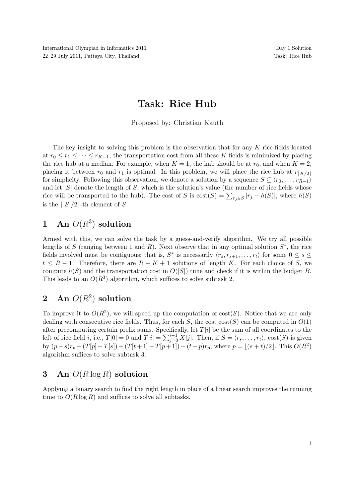# Task: Rice Hub

Proposed by: Christian Kauth

The key insight to solving this problem is the observation that for any K rice fields located at  $r_0 \leq r_1 \leq \cdots \leq r_{K-1}$ , the transportation cost from all these K fields is minimized by placing the rice hub at a median. For example, when  $K = 1$ , the hub should be at  $r_0$ , and when  $K = 2$ , placing it between  $r_0$  and  $r_1$  is optimal. In this problem, we will place the rice hub at  $r_{\lfloor K/2\rfloor}$ for simplicity. Following this observation, we denote a solution by a sequence  $S \subseteq \langle r_0, \ldots, r_{R-1} \rangle$ and let  $|S|$  denote the length of S, which is the solution's value (the number of rice fields whose rice will be transported to the hub). The cost of S is  $\text{cost}(S) = \sum_{r_j \in S} |r_j - h(S)|$ , where  $h(S)$ is the  $||S|/2$ -th element of S.

## 1 An  $O(R^3)$  solution

Armed with this, we can solve the task by a guess-and-verify algorithm. We try all possible lengths of S (ranging between 1 and R). Next observe that in any optimal solution  $S^*$ , the rice fields involved must be contiguous; that is,  $S^*$  is necessarily  $\langle r_s, r_{s+1}, \ldots, r_t \rangle$  for some  $0 \le s \le$  $t \leq R-1$ . Therefore, there are  $R-K+1$  solutions of length K. For each choice of S, we compute  $h(S)$  and the transportation cost in  $O(|S|)$  time and check if it is within the budget B. This leads to an  $O(R^3)$  algorithm, which suffices to solve subtask 2.

## 2 An  $O(R^2)$  solution

To improve it to  $O(R^2)$ , we will speed up the computation of cost(S). Notice that we are only dealing with consecutive rice fields. Thus, for each S, the cost  $\cos(S)$  can be computed in  $O(1)$ after precomputing certain prefix sums. Specifically, let  $T[i]$  be the sum of all coordinates to the left of rice field *i*, i.e.,  $T[0] = 0$  and  $T[i] = \sum_{j=0}^{i-1} X[j]$ . Then, if  $S = \langle r_s, \ldots, r_t \rangle$ ,  $\text{cost}(S)$  is given by  $(p-s)r_p - (T[p]-T[s]) + (T[t+1]-T[p+1]) - (t-p)r_p$ , where  $p = \lfloor (s+t)/2 \rfloor$ . This  $O(R^2)$ algorithm suffices to solve subtask 3.

#### 3 An  $O(R \log R)$  solution

Applying a binary search to find the right length in place of a linear search improves the running time to  $O(R \log R)$  and suffices to solve all subtasks.